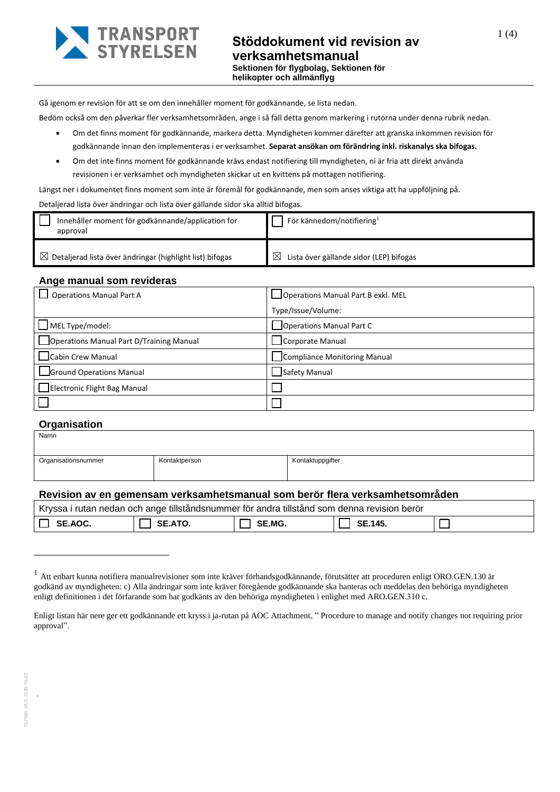

Gå igenom er revision för att se om den innehåller moment för godkännande, se lista nedan.

Bedöm också om den påverkar fler verksamhetsområden, ange i så fall detta genom markering i rutorna under denna rubrik nedan.

- Om det finns moment för godkännande, markera detta. Myndigheten kommer därefter att granska inkommen revision för godkännande innan den implementeras i er verksamhet. **Separat ansökan om förändring inkl. riskanalys ska bifogas.**
- Om det inte finns moment för godkännande krävs endast notifiering till myndigheten, ni är fria att direkt använda revisionen i er verksamhet och myndigheten skickar ut en kvittens på mottagen notifiering.

Längst ner i dokumentet finns moment som inte är föremål för godkännande, men som anses viktiga att ha uppföljning på.

#### Detaljerad lista över ändringar och lista över gällande sidor ska alltid bifogas.

| Innehåller moment för godkännande/application for<br>approval        | För kännedom/notifiering $^1$                       |
|----------------------------------------------------------------------|-----------------------------------------------------|
| $\boxtimes$ Detaljerad lista över ändringar (highlight list) bifogas | $\boxtimes$ Lista över gällande sidor (LEP) bifogas |

### **Ange manual som revideras**

| <b>Operations Manual Part A</b>          | Operations Manual Part B exkl. MEL |
|------------------------------------------|------------------------------------|
|                                          | Type/Issue/Volume:                 |
| $\Box$ MEL Type/model:                   | Operations Manual Part C           |
| Operations Manual Part D/Training Manual | Corporate Manual                   |
| Cabin Crew Manual                        | Compliance Monitoring Manual       |
| Ground Operations Manual                 | Safety Manual                      |
| Electronic Flight Bag Manual             |                                    |
|                                          |                                    |

### **Organisation**

| Namn                |               |                  |
|---------------------|---------------|------------------|
| Organisationsnummer | Kontaktperson | Kontaktuppgifter |

### **Revision av en gemensam verksamhetsmanual som berör flera verksamhetsområden**

| l Kryssa i rutan nedan och ange tillståndsnummer för andra tillstånd som denna revision berör |         |               |         |  |
|-----------------------------------------------------------------------------------------------|---------|---------------|---------|--|
| SE.AOC.                                                                                       | SE.ATO. | <b>SE.MG.</b> | SE.145. |  |

.

<sup>&</sup>lt;sup>1</sup> Att enbart kunna notifiera manualrevisioner som inte kräver förhandsgodkännande, förutsätter att proceduren enligt ORO.GEN.130 är godkänd av myndigheten: c) Alla ändringar som inte kräver föregående godkännande ska hanteras och meddelas den behöriga myndigheten enligt definitionen i det förfarande som har godkänts av den behöriga myndigheten i enlighet med ARO.GEN.310 c.

Enligt listan här nere ger ett godkännande ett kryss i ja-rutan på AOC Attachment, " Procedure to manage and notify changes not requiring prior approval".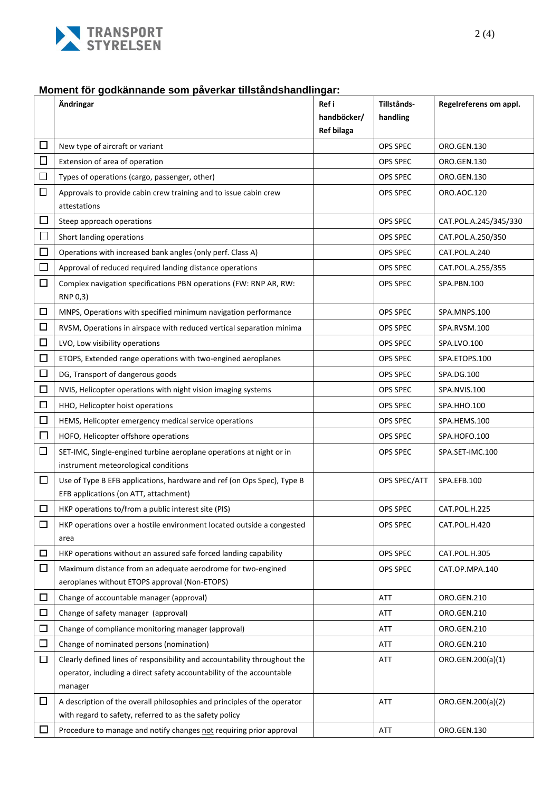

# **Moment för godkännande som påverkar tillståndshandlingar:**

|        | Ändringar                                                                                                                           | Ref i             | Tillstånds-     | Regelreferens om appl. |
|--------|-------------------------------------------------------------------------------------------------------------------------------------|-------------------|-----------------|------------------------|
|        |                                                                                                                                     | handböcker/       | handling        |                        |
|        |                                                                                                                                     | <b>Ref bilaga</b> |                 |                        |
| $\Box$ | New type of aircraft or variant                                                                                                     |                   | OPS SPEC        | ORO.GEN.130            |
| □      | Extension of area of operation                                                                                                      |                   | OPS SPEC        | ORO.GEN.130            |
| $\Box$ | Types of operations (cargo, passenger, other)                                                                                       |                   | OPS SPEC        | ORO.GEN.130            |
| $\Box$ | Approvals to provide cabin crew training and to issue cabin crew                                                                    |                   | OPS SPEC        | ORO.AOC.120            |
|        | attestations                                                                                                                        |                   |                 |                        |
| $\Box$ | Steep approach operations                                                                                                           |                   | <b>OPS SPEC</b> | CAT.POL.A.245/345/330  |
| $\Box$ | Short landing operations                                                                                                            |                   | OPS SPEC        | CAT.POL.A.250/350      |
| $\Box$ | Operations with increased bank angles (only perf. Class A)                                                                          |                   | OPS SPEC        | CAT.POL.A.240          |
| $\Box$ | Approval of reduced required landing distance operations                                                                            |                   | OPS SPEC        | CAT.POL.A.255/355      |
| $\Box$ | Complex navigation specifications PBN operations (FW: RNP AR, RW:                                                                   |                   | <b>OPS SPEC</b> | SPA.PBN.100            |
|        | RNP 0,3)                                                                                                                            |                   |                 |                        |
| □      | MNPS, Operations with specified minimum navigation performance                                                                      |                   | <b>OPS SPEC</b> | SPA.MNPS.100           |
| □      | RVSM, Operations in airspace with reduced vertical separation minima                                                                |                   | <b>OPS SPEC</b> | SPA.RVSM.100           |
| □      | LVO, Low visibility operations                                                                                                      |                   | OPS SPEC        | SPA.LVO.100            |
| 口      | ETOPS, Extended range operations with two-engined aeroplanes                                                                        |                   | OPS SPEC        | SPA.ETOPS.100          |
| $\Box$ | DG, Transport of dangerous goods                                                                                                    |                   | OPS SPEC        | SPA.DG.100             |
| $\Box$ | NVIS, Helicopter operations with night vision imaging systems                                                                       |                   | OPS SPEC        | SPA.NVIS.100           |
| $\Box$ | HHO, Helicopter hoist operations                                                                                                    |                   | OPS SPEC        | SPA.HHO.100            |
| $\Box$ | HEMS, Helicopter emergency medical service operations                                                                               |                   | OPS SPEC        | SPA.HEMS.100           |
| □      | HOFO, Helicopter offshore operations                                                                                                |                   | OPS SPEC        | SPA.HOFO.100           |
| $\Box$ | SET-IMC, Single-engined turbine aeroplane operations at night or in                                                                 |                   | OPS SPEC        | SPA.SET-IMC.100        |
|        | instrument meteorological conditions                                                                                                |                   |                 |                        |
| $\Box$ | Use of Type B EFB applications, hardware and ref (on Ops Spec), Type B                                                              |                   | OPS SPEC/ATT    | SPA.EFB.100            |
|        | EFB applications (on ATT, attachment)                                                                                               |                   |                 |                        |
| □      | HKP operations to/from a public interest site (PIS)                                                                                 |                   | <b>OPS SPEC</b> | CAT.POL.H.225          |
| $\Box$ | HKP operations over a hostile environment located outside a congested                                                               |                   | OPS SPEC        | CAT.POL.H.420          |
|        | area                                                                                                                                |                   |                 |                        |
| □      | HKP operations without an assured safe forced landing capability                                                                    |                   | OPS SPEC        | CAT.POL.H.305          |
| □      | Maximum distance from an adequate aerodrome for two-engined                                                                         |                   | OPS SPEC        | CAT.OP.MPA.140         |
|        | aeroplanes without ETOPS approval (Non-ETOPS)                                                                                       |                   |                 |                        |
| $\Box$ | Change of accountable manager (approval)                                                                                            |                   | ATT             | ORO.GEN.210            |
| $\Box$ | Change of safety manager (approval)                                                                                                 |                   | ATT             | ORO.GEN.210            |
| $\Box$ | Change of compliance monitoring manager (approval)                                                                                  |                   | ATT             | ORO.GEN.210            |
| $\Box$ | Change of nominated persons (nomination)                                                                                            |                   | ATT             | ORO.GEN.210            |
| □      | Clearly defined lines of responsibility and accountability throughout the                                                           |                   | ATT             | ORO.GEN.200(a)(1)      |
|        | operator, including a direct safety accountability of the accountable                                                               |                   |                 |                        |
|        | manager                                                                                                                             |                   |                 |                        |
| $\Box$ | A description of the overall philosophies and principles of the operator<br>with regard to safety, referred to as the safety policy |                   | ATT             | ORO.GEN.200(a)(2)      |
|        |                                                                                                                                     |                   |                 |                        |
| $\Box$ | Procedure to manage and notify changes not requiring prior approval                                                                 |                   | ATT             | ORO.GEN.130            |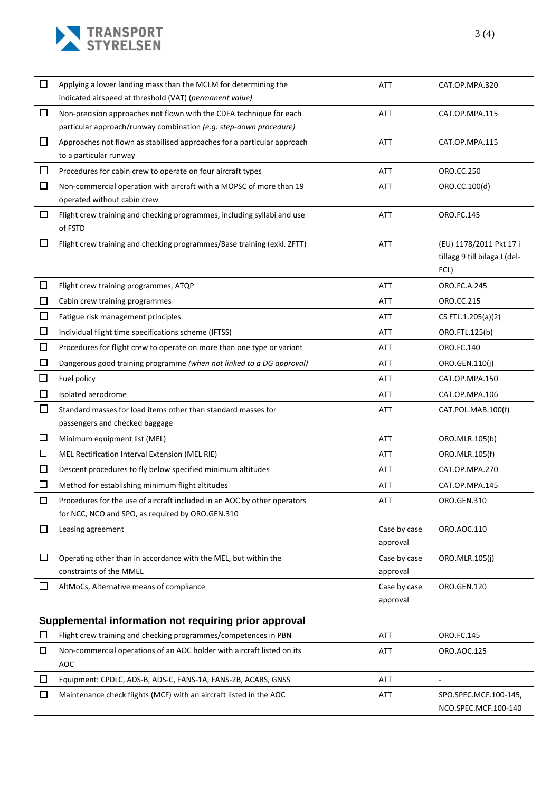

| $\Box$ | Applying a lower landing mass than the MCLM for determining the<br>indicated airspeed at threshold (VAT) (permanent value)               | ATT                      | CAT.OP.MPA.320                                                   |
|--------|------------------------------------------------------------------------------------------------------------------------------------------|--------------------------|------------------------------------------------------------------|
| □      | Non-precision approaches not flown with the CDFA technique for each<br>particular approach/runway combination (e.g. step-down procedure) | ATT                      | CAT.OP.MPA.115                                                   |
| $\Box$ | Approaches not flown as stabilised approaches for a particular approach<br>to a particular runway                                        | ATT                      | CAT.OP.MPA.115                                                   |
| □      | Procedures for cabin crew to operate on four aircraft types                                                                              | ATT                      | ORO.CC.250                                                       |
| $\Box$ | Non-commercial operation with aircraft with a MOPSC of more than 19<br>operated without cabin crew                                       | ATT                      | ORO.CC.100(d)                                                    |
| □      | Flight crew training and checking programmes, including syllabi and use<br>of FSTD                                                       | ATT                      | ORO.FC.145                                                       |
| □      | Flight crew training and checking programmes/Base training (exkl. ZFTT)                                                                  | <b>ATT</b>               | (EU) 1178/2011 Pkt 17 i<br>tillägg 9 till bilaga I (del-<br>FCL) |
| □      | Flight crew training programmes, ATQP                                                                                                    | ATT                      | ORO.FC.A.245                                                     |
| 囗      | Cabin crew training programmes                                                                                                           | ATT                      | ORO.CC.215                                                       |
| □      | Fatigue risk management principles                                                                                                       | ATT                      | CS FTL.1.205(a)(2)                                               |
| $\Box$ | Individual flight time specifications scheme (IFTSS)                                                                                     | ATT                      | ORO.FTL.125(b)                                                   |
| □      | Procedures for flight crew to operate on more than one type or variant                                                                   | ATT                      | ORO.FC.140                                                       |
| $\Box$ | Dangerous good training programme (when not linked to a DG approval)                                                                     | ATT                      | ORO.GEN.110(j)                                                   |
| $\Box$ | Fuel policy                                                                                                                              | ATT                      | CAT.OP.MPA.150                                                   |
| $\Box$ | Isolated aerodrome                                                                                                                       | ATT                      | CAT.OP.MPA.106                                                   |
| $\Box$ | Standard masses for load items other than standard masses for<br>passengers and checked baggage                                          | ATT                      | CAT.POL.MAB.100(f)                                               |
| $\Box$ | Minimum equipment list (MEL)                                                                                                             | ATT                      | ORO.MLR.105(b)                                                   |
| $\Box$ | MEL Rectification Interval Extension (MEL RIE)                                                                                           | ATT                      | ORO.MLR.105(f)                                                   |
| □      | Descent procedures to fly below specified minimum altitudes                                                                              | ATT                      | CAT.OP.MPA.270                                                   |
| □      | Method for establishing minimum flight altitudes                                                                                         | ATT                      | CAT.OP.MPA.145                                                   |
| $\Box$ | Procedures for the use of aircraft included in an AOC by other operators<br>for NCC, NCO and SPO, as required by ORO.GEN.310             | ATT                      | ORO.GEN.310                                                      |
| □      | Leasing agreement                                                                                                                        | Case by case<br>approval | ORO.AOC.110                                                      |
| □      | Operating other than in accordance with the MEL, but within the<br>constraints of the MMEL                                               | Case by case<br>approval | ORO.MLR.105(j)                                                   |
| □      | AltMoCs, Alternative means of compliance                                                                                                 | Case by case<br>approval | ORO.GEN.120                                                      |

# **Supplemental information not requiring prior approval**

| Flight crew training and checking programmes/competences in PBN        | ATT        | ORO.FC.145            |
|------------------------------------------------------------------------|------------|-----------------------|
| Non-commercial operations of an AOC holder with aircraft listed on its | <b>ATT</b> | ORO.AOC.125           |
| AOC                                                                    |            |                       |
|                                                                        |            |                       |
| Equipment: CPDLC, ADS-B, ADS-C, FANS-1A, FANS-2B, ACARS, GNSS          | ATT        |                       |
| Maintenance check flights (MCF) with an aircraft listed in the AOC     | ATT        | SPO.SPEC.MCF.100-145, |